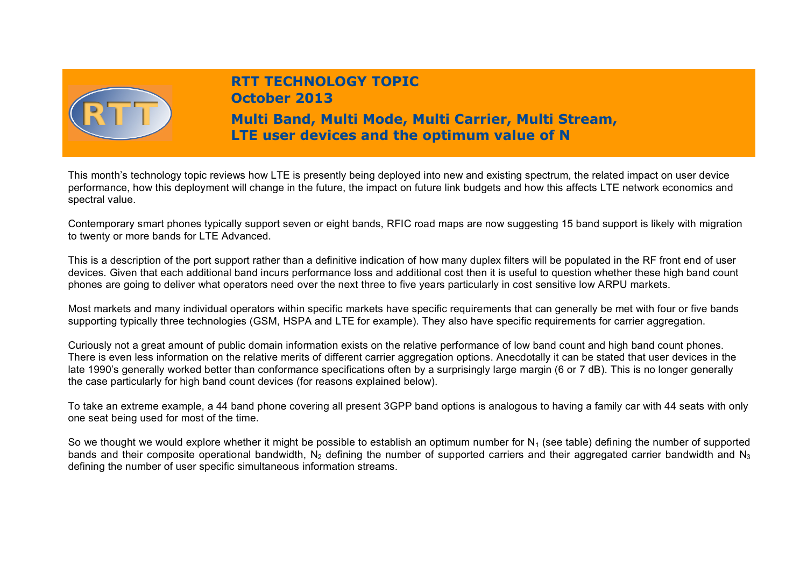

# **RTT TECHNOLOGY TOPIC October 2013**

# **Multi Band, Multi Mode, Multi Carrier, Multi Stream, LTE user devices and the optimum value of N**

This month's technology topic reviews how LTE is presently being deployed into new and existing spectrum, the related impact on user device performance, how this deployment will change in the future, the impact on future link budgets and how this affects LTE network economics and spectral value.

Contemporary smart phones typically support seven or eight bands, RFIC road maps are now suggesting 15 band support is likely with migration to twenty or more bands for LTE Advanced.

This is a description of the port support rather than a definitive indication of how many duplex filters will be populated in the RF front end of user devices. Given that each additional band incurs performance loss and additional cost then it is useful to question whether these high band count phones are going to deliver what operators need over the next three to five years particularly in cost sensitive low ARPU markets.

Most markets and many individual operators within specific markets have specific requirements that can generally be met with four or five bands supporting typically three technologies (GSM, HSPA and LTE for example). They also have specific requirements for carrier aggregation.

Curiously not a great amount of public domain information exists on the relative performance of low band count and high band count phones. There is even less information on the relative merits of different carrier aggregation options. Anecdotally it can be stated that user devices in the late 1990's generally worked better than conformance specifications often by a surprisingly large margin (6 or 7 dB). This is no longer generally the case particularly for high band count devices (for reasons explained below).

To take an extreme example, a 44 band phone covering all present 3GPP band options is analogous to having a family car with 44 seats with only one seat being used for most of the time.

So we thought we would explore whether it might be possible to establish an optimum number for  $N_1$  (see table) defining the number of supported bands and their composite operational bandwidth. N<sub>2</sub> defining the number of supported carriers and their aggregated carrier bandwidth and N<sub>3</sub> defining the number of user specific simultaneous information streams.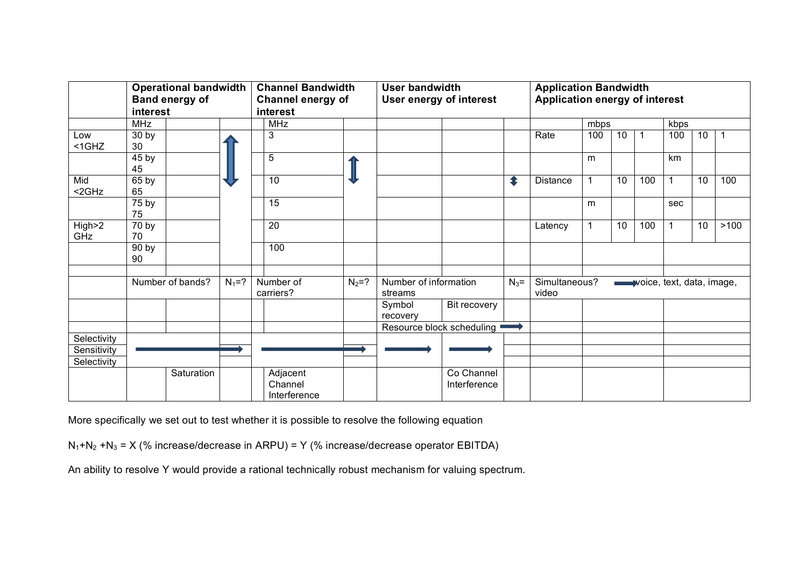|                 | <b>Operational bandwidth</b><br><b>Band energy of</b><br>interest |            |           | <b>Channel Bandwidth</b><br>Channel energy of<br>interest |           | <b>User bandwidth</b><br>User energy of interest |                            |         | <b>Application Bandwidth</b><br>Application energy of interest |                           |    |                |      |    |      |
|-----------------|-------------------------------------------------------------------|------------|-----------|-----------------------------------------------------------|-----------|--------------------------------------------------|----------------------------|---------|----------------------------------------------------------------|---------------------------|----|----------------|------|----|------|
|                 | <b>MHz</b>                                                        |            |           | <b>MHz</b>                                                |           |                                                  |                            |         |                                                                | mbps                      |    |                | kbps |    |      |
| Low<br>$<$ 1GHZ | 30 <sub>by</sub><br>30                                            |            |           | 3                                                         |           |                                                  |                            |         | Rate                                                           | 100                       | 10 | $\overline{1}$ | 100  | 10 |      |
|                 | 45 <sub>by</sub><br>45                                            |            |           | 5                                                         |           |                                                  |                            |         |                                                                | m                         |    |                | km   |    |      |
| Mid<br>$<$ 2GHz | 65 by<br>65                                                       |            |           | 10                                                        |           |                                                  |                            | ⇞       | Distance                                                       |                           | 10 | 100            | 1    | 10 | 100  |
|                 | 75 by<br>75                                                       |            |           | 15                                                        |           |                                                  |                            |         |                                                                | m                         |    |                | sec  |    |      |
| High>2<br>GHz   | 70 by<br>70                                                       |            |           | 20                                                        |           |                                                  |                            |         | Latency                                                        | 1                         | 10 | 100            |      | 10 | >100 |
|                 | 90 by<br>90                                                       |            |           | 100                                                       |           |                                                  |                            |         |                                                                |                           |    |                |      |    |      |
|                 | Number of bands?                                                  |            | $N_1 = ?$ | Number of<br>carriers?                                    | $N_2 = ?$ | Number of information<br>streams                 |                            | $N_3$ = | Simultaneous?<br>video                                         | voice, text, data, image, |    |                |      |    |      |
|                 |                                                                   |            |           |                                                           |           | Symbol<br>recovery                               | Bit recovery               |         |                                                                |                           |    |                |      |    |      |
|                 |                                                                   |            |           |                                                           |           | Resource block scheduling                        |                            |         |                                                                |                           |    |                |      |    |      |
| Selectivity     |                                                                   |            |           |                                                           |           |                                                  |                            |         |                                                                |                           |    |                |      |    |      |
| Sensitivity     |                                                                   |            |           |                                                           |           |                                                  |                            |         |                                                                |                           |    |                |      |    |      |
| Selectivity     |                                                                   |            |           |                                                           |           |                                                  |                            |         |                                                                |                           |    |                |      |    |      |
|                 |                                                                   | Saturation |           | Adjacent<br>Channel<br>Interference                       |           |                                                  | Co Channel<br>Interference |         |                                                                |                           |    |                |      |    |      |

More specifically we set out to test whether it is possible to resolve the following equation

 $N_1 + N_2 + N_3 = X$  (% increase/decrease in ARPU) = Y (% increase/decrease operator EBITDA)

An ability to resolve Y would provide a rational technically robust mechanism for valuing spectrum.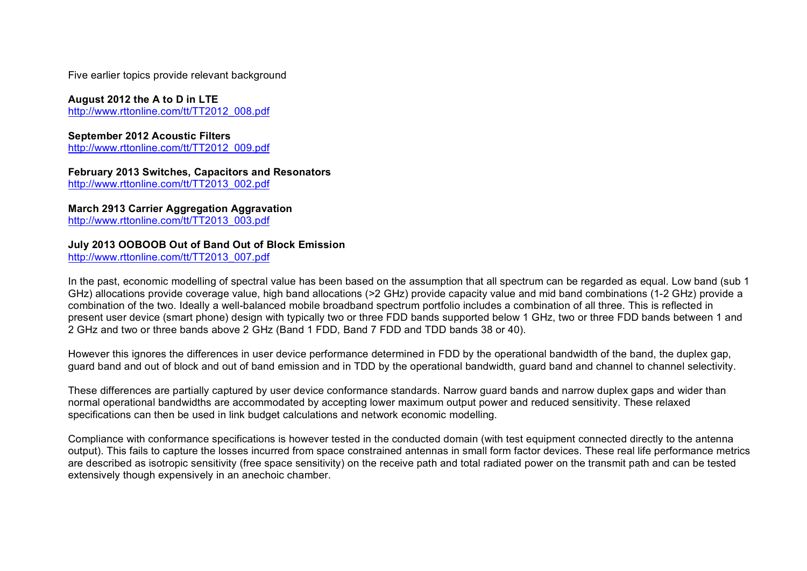Five earlier topics provide relevant background

# **August 2012 the A to D in LTE**

http://www.rttonline.com/tt/TT2012\_008.pdf

# **September 2012 Acoustic Filters**

http://www.rttonline.com/tt/TT2012\_009.pdf

#### **February 2013 Switches, Capacitors and Resonators**  http://www.rttonline.com/tt/TT2013\_002.pdf

**March 2913 Carrier Aggregation Aggravation**

http://www.rttonline.com/tt/TT2013\_003.pdf

## **July 2013 OOBOOB Out of Band Out of Block Emission**

http://www.rttonline.com/tt/TT2013\_007.pdf

In the past, economic modelling of spectral value has been based on the assumption that all spectrum can be regarded as equal. Low band (sub 1 GHz) allocations provide coverage value, high band allocations (>2 GHz) provide capacity value and mid band combinations (1-2 GHz) provide a combination of the two. Ideally a well-balanced mobile broadband spectrum portfolio includes a combination of all three. This is reflected in present user device (smart phone) design with typically two or three FDD bands supported below 1 GHz, two or three FDD bands between 1 and 2 GHz and two or three bands above 2 GHz (Band 1 FDD, Band 7 FDD and TDD bands 38 or 40).

However this ignores the differences in user device performance determined in FDD by the operational bandwidth of the band, the duplex gap, guard band and out of block and out of band emission and in TDD by the operational bandwidth, guard band and channel to channel selectivity.

These differences are partially captured by user device conformance standards. Narrow guard bands and narrow duplex gaps and wider than normal operational bandwidths are accommodated by accepting lower maximum output power and reduced sensitivity. These relaxed specifications can then be used in link budget calculations and network economic modelling.

Compliance with conformance specifications is however tested in the conducted domain (with test equipment connected directly to the antenna output). This fails to capture the losses incurred from space constrained antennas in small form factor devices. These real life performance metrics are described as isotropic sensitivity (free space sensitivity) on the receive path and total radiated power on the transmit path and can be tested extensively though expensively in an anechoic chamber.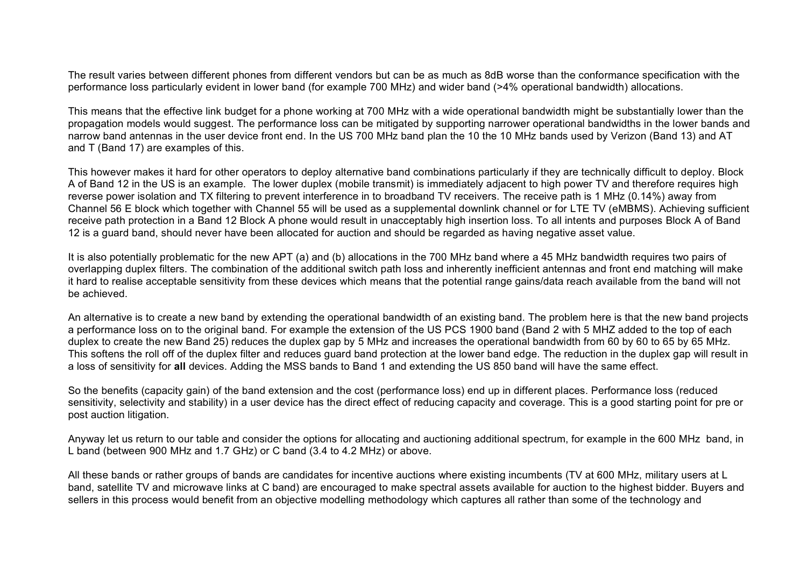The result varies between different phones from different vendors but can be as much as 8dB worse than the conformance specification with the performance loss particularly evident in lower band (for example 700 MHz) and wider band (>4% operational bandwidth) allocations.

This means that the effective link budget for a phone working at 700 MHz with a wide operational bandwidth might be substantially lower than the propagation models would suggest. The performance loss can be mitigated by supporting narrower operational bandwidths in the lower bands and narrow band antennas in the user device front end. In the US 700 MHz band plan the 10 the 10 MHz bands used by Verizon (Band 13) and AT and T (Band 17) are examples of this.

This however makes it hard for other operators to deploy alternative band combinations particularly if they are technically difficult to deploy. Block A of Band 12 in the US is an example. The lower duplex (mobile transmit) is immediately adjacent to high power TV and therefore requires high reverse power isolation and TX filtering to prevent interference in to broadband TV receivers. The receive path is 1 MHz (0.14%) away from Channel 56 E block which together with Channel 55 will be used as a supplemental downlink channel or for LTE TV (eMBMS). Achieving sufficient receive path protection in a Band 12 Block A phone would result in unacceptably high insertion loss. To all intents and purposes Block A of Band 12 is a guard band, should never have been allocated for auction and should be regarded as having negative asset value.

It is also potentially problematic for the new APT (a) and (b) allocations in the 700 MHz band where a 45 MHz bandwidth requires two pairs of overlapping duplex filters. The combination of the additional switch path loss and inherently inefficient antennas and front end matching will make it hard to realise acceptable sensitivity from these devices which means that the potential range gains/data reach available from the band will not be achieved.

An alternative is to create a new band by extending the operational bandwidth of an existing band. The problem here is that the new band projects a performance loss on to the original band. For example the extension of the US PCS 1900 band (Band 2 with 5 MHZ added to the top of each duplex to create the new Band 25) reduces the duplex gap by 5 MHz and increases the operational bandwidth from 60 by 60 to 65 by 65 MHz. This softens the roll off of the duplex filter and reduces guard band protection at the lower band edge. The reduction in the duplex gap will result in a loss of sensitivity for **all** devices. Adding the MSS bands to Band 1 and extending the US 850 band will have the same effect.

So the benefits (capacity gain) of the band extension and the cost (performance loss) end up in different places. Performance loss (reduced sensitivity, selectivity and stability) in a user device has the direct effect of reducing capacity and coverage. This is a good starting point for pre or post auction litigation.

Anyway let us return to our table and consider the options for allocating and auctioning additional spectrum, for example in the 600 MHz band, in L band (between 900 MHz and 1.7 GHz) or C band (3.4 to 4.2 MHz) or above.

All these bands or rather groups of bands are candidates for incentive auctions where existing incumbents (TV at 600 MHz, military users at L band, satellite TV and microwave links at C band) are encouraged to make spectral assets available for auction to the highest bidder. Buyers and sellers in this process would benefit from an objective modelling methodology which captures all rather than some of the technology and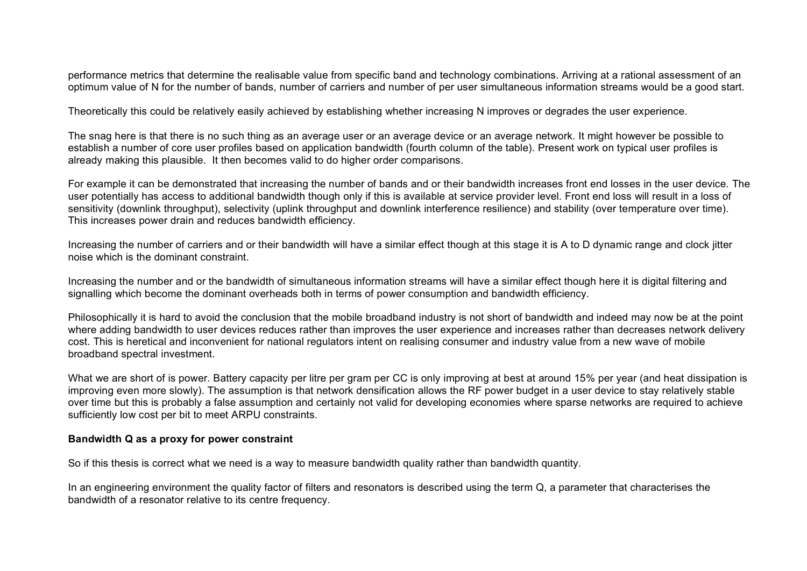performance metrics that determine the realisable value from specific band and technology combinations. Arriving at a rational assessment of an optimum value of N for the number of bands, number of carriers and number of per user simultaneous information streams would be a good start.

Theoretically this could be relatively easily achieved by establishing whether increasing N improves or degrades the user experience.

The snag here is that there is no such thing as an average user or an average device or an average network. It might however be possible to establish a number of core user profiles based on application bandwidth (fourth column of the table). Present work on typical user profiles is already making this plausible. It then becomes valid to do higher order comparisons.

For example it can be demonstrated that increasing the number of bands and or their bandwidth increases front end losses in the user device. The user potentially has access to additional bandwidth though only if this is available at service provider level. Front end loss will result in a loss of sensitivity (downlink throughput), selectivity (uplink throughput and downlink interference resilience) and stability (over temperature over time). This increases power drain and reduces bandwidth efficiency.

Increasing the number of carriers and or their bandwidth will have a similar effect though at this stage it is A to D dynamic range and clock jitter noise which is the dominant constraint.

Increasing the number and or the bandwidth of simultaneous information streams will have a similar effect though here it is digital filtering and signalling which become the dominant overheads both in terms of power consumption and bandwidth efficiency.

Philosophically it is hard to avoid the conclusion that the mobile broadband industry is not short of bandwidth and indeed may now be at the point where adding bandwidth to user devices reduces rather than improves the user experience and increases rather than decreases network delivery cost. This is heretical and inconvenient for national regulators intent on realising consumer and industry value from a new wave of mobile broadband spectral investment.

What we are short of is power. Battery capacity per litre per gram per CC is only improving at best at around 15% per year (and heat dissipation is improving even more slowly). The assumption is that network densification allows the RF power budget in a user device to stay relatively stable over time but this is probably a false assumption and certainly not valid for developing economies where sparse networks are required to achieve sufficiently low cost per bit to meet ARPU constraints.

#### **Bandwidth Q as a proxy for power constraint**

So if this thesis is correct what we need is a way to measure bandwidth quality rather than bandwidth quantity.

In an engineering environment the quality factor of filters and resonators is described using the term Q, a parameter that characterises the bandwidth of a resonator relative to its centre frequency.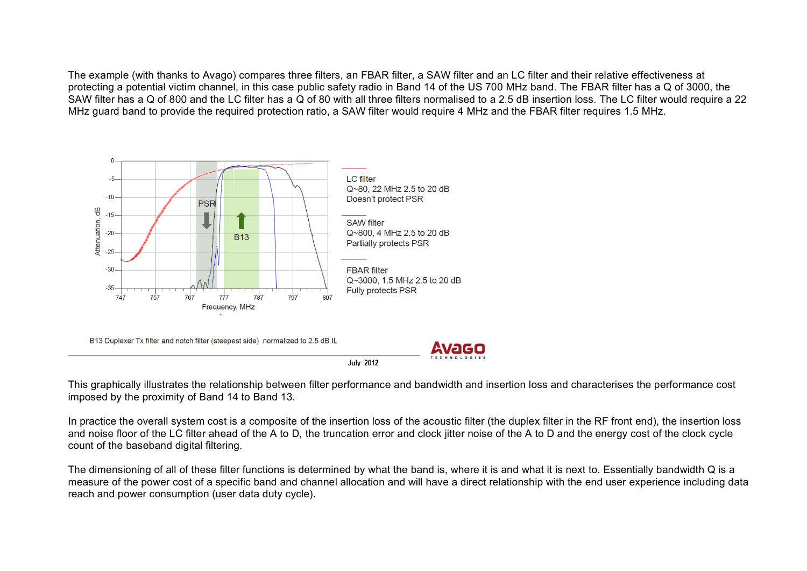The example (with thanks to Avago) compares three filters, an FBAR filter, a SAW filter and an LC filter and their relative effectiveness at protecting a potential victim channel, in this case public safety radio in Band 14 of the US 700 MHz band. The FBAR filter has a Q of 3000, the SAW filter has a Q of 800 and the LC filter has a Q of 80 with all three filters normalised to a 2.5 dB insertion loss. The LC filter would require a 22 MHz guard band to provide the required protection ratio, a SAW filter would require 4 MHz and the FBAR filter requires 1.5 MHz.



This graphically illustrates the relationship between filter performance and bandwidth and insertion loss and characterises the performance cost imposed by the proximity of Band 14 to Band 13.

In practice the overall system cost is a composite of the insertion loss of the acoustic filter (the duplex filter in the RF front end), the insertion loss and noise floor of the LC filter ahead of the A to D, the truncation error and clock jitter noise of the A to D and the energy cost of the clock cycle count of the baseband digital filtering.

The dimensioning of all of these filter functions is determined by what the band is, where it is and what it is next to. Essentially bandwidth Q is a measure of the power cost of a specific band and channel allocation and will have a direct relationship with the end user experience including data reach and power consumption (user data duty cycle).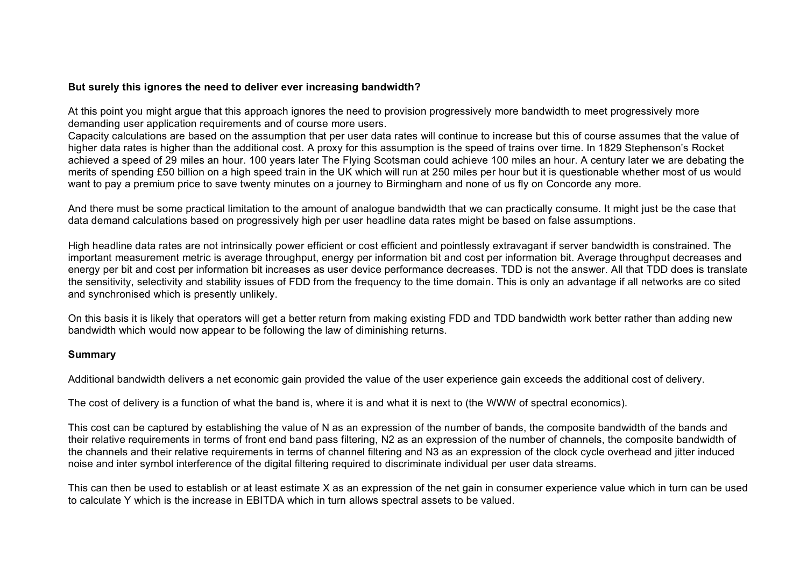### **But surely this ignores the need to deliver ever increasing bandwidth?**

At this point you might argue that this approach ignores the need to provision progressively more bandwidth to meet progressively more demanding user application requirements and of course more users.

Capacity calculations are based on the assumption that per user data rates will continue to increase but this of course assumes that the value of higher data rates is higher than the additional cost. A proxy for this assumption is the speed of trains over time. In 1829 Stephenson's Rocket achieved a speed of 29 miles an hour. 100 years later The Flying Scotsman could achieve 100 miles an hour. A century later we are debating the merits of spending £50 billion on a high speed train in the UK which will run at 250 miles per hour but it is questionable whether most of us would want to pay a premium price to save twenty minutes on a journey to Birmingham and none of us fly on Concorde any more.

And there must be some practical limitation to the amount of analogue bandwidth that we can practically consume. It might just be the case that data demand calculations based on progressively high per user headline data rates might be based on false assumptions.

High headline data rates are not intrinsically power efficient or cost efficient and pointlessly extravagant if server bandwidth is constrained. The important measurement metric is average throughput, energy per information bit and cost per information bit. Average throughput decreases and energy per bit and cost per information bit increases as user device performance decreases. TDD is not the answer. All that TDD does is translate the sensitivity, selectivity and stability issues of FDD from the frequency to the time domain. This is only an advantage if all networks are co sited and synchronised which is presently unlikely.

On this basis it is likely that operators will get a better return from making existing FDD and TDD bandwidth work better rather than adding new bandwidth which would now appear to be following the law of diminishing returns.

## **Summary**

Additional bandwidth delivers a net economic gain provided the value of the user experience gain exceeds the additional cost of delivery.

The cost of delivery is a function of what the band is, where it is and what it is next to (the WWW of spectral economics).

This cost can be captured by establishing the value of N as an expression of the number of bands, the composite bandwidth of the bands and their relative requirements in terms of front end band pass filtering, N2 as an expression of the number of channels, the composite bandwidth of the channels and their relative requirements in terms of channel filtering and N3 as an expression of the clock cycle overhead and jitter induced noise and inter symbol interference of the digital filtering required to discriminate individual per user data streams.

This can then be used to establish or at least estimate X as an expression of the net gain in consumer experience value which in turn can be used to calculate Y which is the increase in EBITDA which in turn allows spectral assets to be valued.